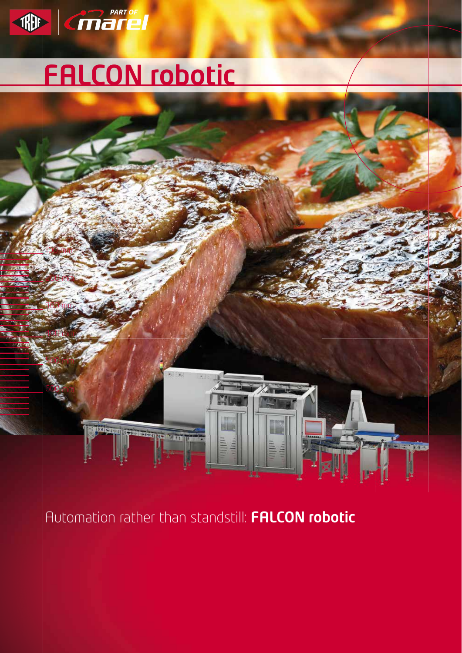

# FALCON robotic



Automation rather than standstill: FALCON robotic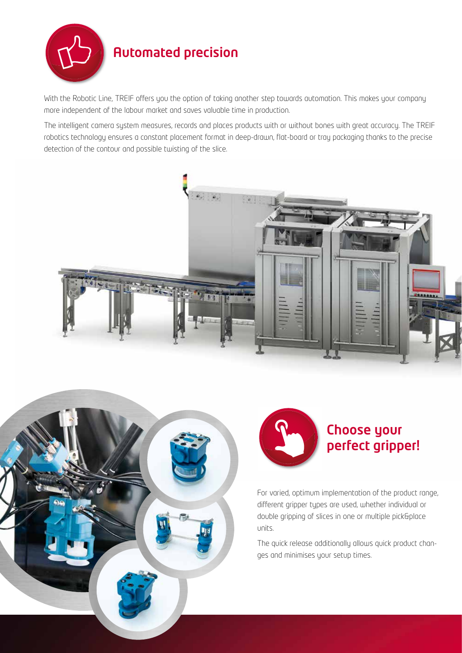

# Automated precision

With the Robotic Line, TREIF offers you the option of taking another step towards automation. This makes your company more independent of the labour market and saves valuable time in production.

The intelligent camera system measures, records and places products with or without bones with great accuracy. The TREIF robotics technology ensures a constant placement format in deep-drawn, flat-board or tray packaging thanks to the precise detection of the contour and possible twisting of the slice.







For varied, optimum implementation of the product range, different gripper types are used, whether individual or double gripping of slices in one or multiple pick&place units.

The quick release additionally allows quick product changes and minimises your setup times.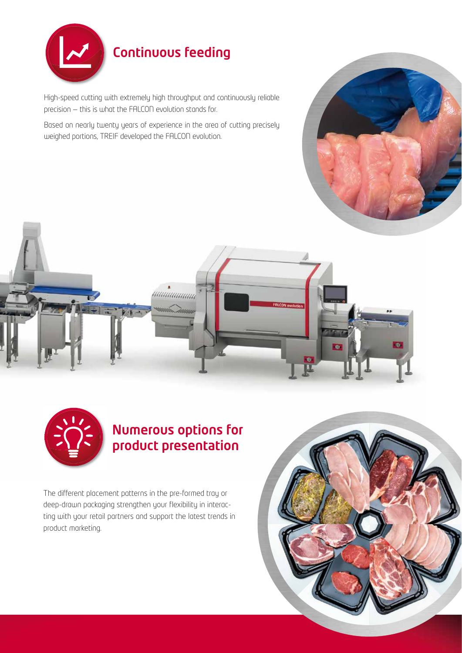

# Continuous feeding

High-speed cutting with extremely high throughput and continuously reliable precision — this is what the FALCON evolution stands for.

Based on nearly twenty years of experience in the area of cutting precisely weighed portions, TREIF developed the FALCON evolution.







## Numerous options for product presentation

The different placement patterns in the pre-formed tray or deep-drawn packaging strengthen your flexibility in interacting with your retail partners and support the latest trends in product marketing.